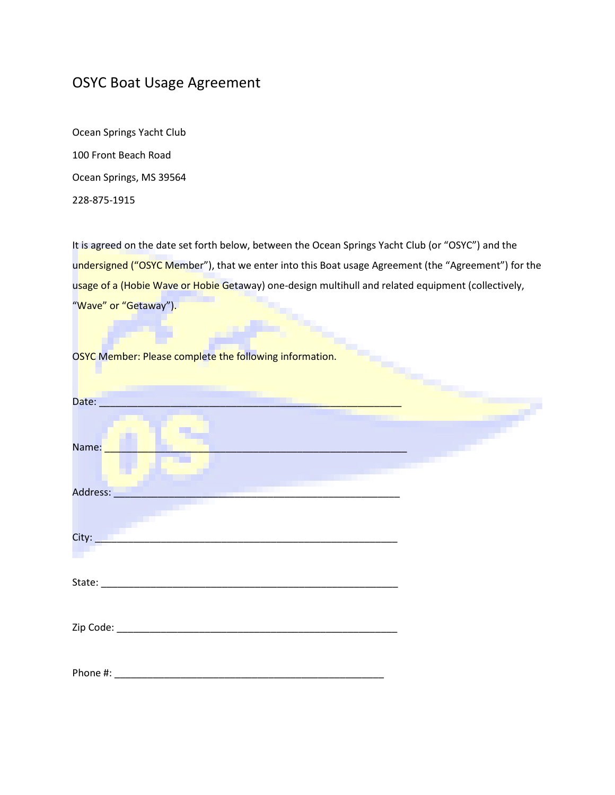## OSYC Boat Usage Agreement

Ocean Springs Yacht Club 100 Front Beach Road Ocean Springs, MS 39564 228-875-1915

It is agreed on the date set forth below, between the Ocean Springs Yacht Club (or "OSYC") and the undersigned ("OSYC Member"), that we enter into this Boat usage Agreement (the "Agreement") for the usage of a (Hobie Wave or Hobie Getaway) one-design multihull and related equipment (collectively, "Wave" or "Getaway").

| OSYC Member: Please complete the following information. |  |
|---------------------------------------------------------|--|
| Date:                                                   |  |
| Name:                                                   |  |
| Address:                                                |  |
| City:                                                   |  |
|                                                         |  |
|                                                         |  |
|                                                         |  |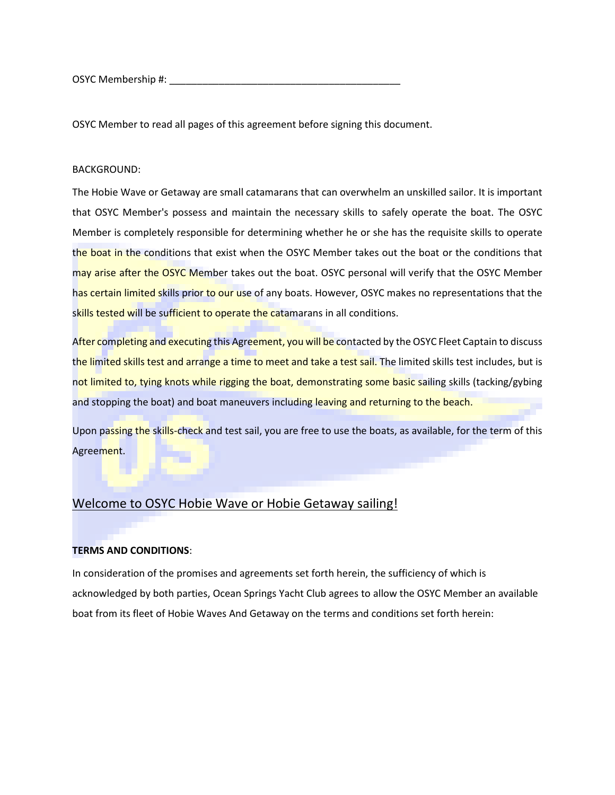OSYC Membership #: \_\_\_\_\_\_\_\_\_\_\_\_\_\_\_\_\_\_\_\_\_\_\_\_\_\_\_\_\_\_\_\_\_\_\_\_\_\_\_\_\_\_

OSYC Member to read all pages of this agreement before signing this document.

### BACKGROUND:

The Hobie Wave or Getaway are small catamarans that can overwhelm an unskilled sailor. It is important that OSYC Member's possess and maintain the necessary skills to safely operate the boat. The OSYC Member is completely responsible for determining whether he or she has the requisite skills to operate the boat in the conditions that exist when the OSYC Member takes out the boat or the conditions that may arise after the OSYC Member takes out the boat. OSYC personal will verify that the OSYC Member has certain limited skills prior to our use of any boats. However, OSYC makes no representations that the skills tested will be sufficient to operate the catamarans in all conditions.

After completing and executing this Agreement, you will be contacted by the OSYC Fleet Captain to discuss the limited skills test and arrange a time to meet and take a test sail. The limited skills test includes, but is not limited to, tying knots while rigging the boat, demonstrating some basic sailing skills (tacking/gybing and stopping the boat) and boat maneuvers including leaving and returning to the beach.

Upon passing the skills-check and test sail, you are free to use the boats, as available, for the term of this Agreement.

### Welcome to OSYC Hobie Wave or Hobie Getaway sailing!

### **TERMS AND CONDITIONS**:

In consideration of the promises and agreements set forth herein, the sufficiency of which is acknowledged by both parties, Ocean Springs Yacht Club agrees to allow the OSYC Member an available boat from its fleet of Hobie Waves And Getaway on the terms and conditions set forth herein: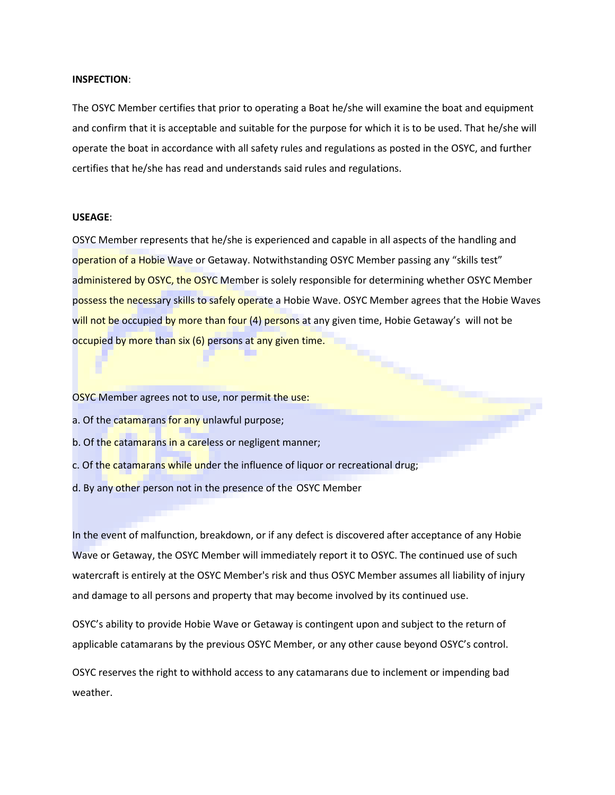#### **INSPECTION**:

The OSYC Member certifies that prior to operating a Boat he/she will examine the boat and equipment and confirm that it is acceptable and suitable for the purpose for which it is to be used. That he/she will operate the boat in accordance with all safety rules and regulations as posted in the OSYC, and further certifies that he/she has read and understands said rules and regulations.

### **USEAGE**:

OSYC Member represents that he/she is experienced and capable in all aspects of the handling and operation of a Hobie Wave or Getaway. Notwithstanding OSYC Member passing any "skills test" administered by OSYC, the OSYC Member is solely responsible for determining whether OSYC Member possess the necessary skills to safely operate a Hobie Wave. OSYC Member agrees that the Hobie Waves will not be occupied by more than four (4) persons at any given time, Hobie Getaway's will not be occupied by more than six (6) persons at any given time.

OSYC Member agrees not to use, nor permit the use:

- a. Of the catamarans for any unlawful purpose;
- b. Of the catamarans in a careless or negligent manner;
- c. Of the catamarans while under the influence of liquor or recreational drug;
- d. By any other person not in the presence of the OSYC Member

In the event of malfunction, breakdown, or if any defect is discovered after acceptance of any Hobie Wave or Getaway, the OSYC Member will immediately report it to OSYC. The continued use of such watercraft is entirely at the OSYC Member's risk and thus OSYC Member assumes all liability of injury and damage to all persons and property that may become involved by its continued use.

OSYC's ability to provide Hobie Wave or Getaway is contingent upon and subject to the return of applicable catamarans by the previous OSYC Member, or any other cause beyond OSYC's control.

OSYC reserves the right to withhold access to any catamarans due to inclement or impending bad weather.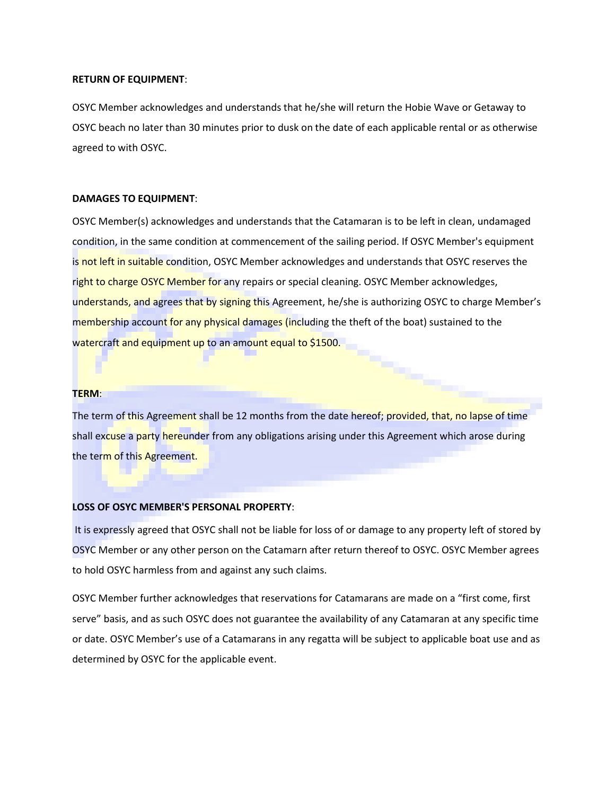### **RETURN OF EQUIPMENT**:

OSYC Member acknowledges and understands that he/she will return the Hobie Wave or Getaway to OSYC beach no later than 30 minutes prior to dusk on the date of each applicable rental or as otherwise agreed to with OSYC.

### **DAMAGES TO EQUIPMENT**:

OSYC Member(s) acknowledges and understands that the Catamaran is to be left in clean, undamaged condition, in the same condition at commencement of the sailing period. If OSYC Member's equipment is not left in suitable condition, OSYC Member acknowledges and understands that OSYC reserves the right to charge OSYC Member for any repairs or special cleaning. OSYC Member acknowledges, understands, and agrees that by signing this Agreement, he/she is authorizing OSYC to charge Member's membership account for any physical damages (including the theft of the boat) sustained to the watercraft and equipment up to an amount equal to \$1500.

### **TERM**:

The term of this Agreement shall be 12 months from the date hereof; provided, that, no lapse of time shall excuse a party hereunder from any obligations arising under this Agreement which arose during the term of this Agreement.

### **LOSS OF OSYC MEMBER'S PERSONAL PROPERTY**:

It is expressly agreed that OSYC shall not be liable for loss of or damage to any property left of stored by OSYC Member or any other person on the Catamarn after return thereof to OSYC. OSYC Member agrees to hold OSYC harmless from and against any such claims.

OSYC Member further acknowledges that reservations for Catamarans are made on a "first come, first serve" basis, and as such OSYC does not guarantee the availability of any Catamaran at any specific time or date. OSYC Member's use of a Catamarans in any regatta will be subject to applicable boat use and as determined by OSYC for the applicable event.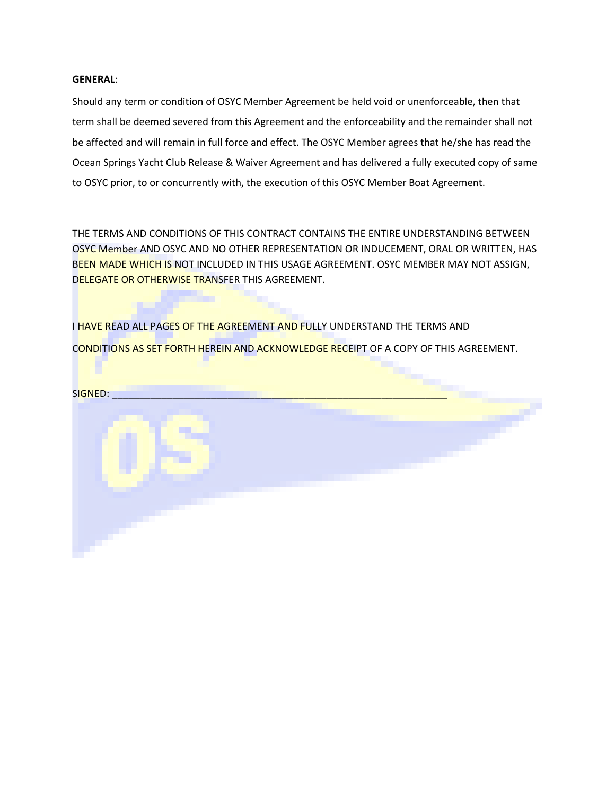### **GENERAL**:

Should any term or condition of OSYC Member Agreement be held void or unenforceable, then that term shall be deemed severed from this Agreement and the enforceability and the remainder shall not be affected and will remain in full force and effect. The OSYC Member agrees that he/she has read the Ocean Springs Yacht Club Release & Waiver Agreement and has delivered a fully executed copy of same to OSYC prior, to or concurrently with, the execution of this OSYC Member Boat Agreement.

THE TERMS AND CONDITIONS OF THIS CONTRACT CONTAINS THE ENTIRE UNDERSTANDING BETWEEN OSYC Member AND OSYC AND NO OTHER REPRESENTATION OR INDUCEMENT, ORAL OR WRITTEN, HAS BEEN MADE WHICH IS NOT INCLUDED IN THIS USAGE AGREEMENT. OSYC MEMBER MAY NOT ASSIGN, DELEGATE OR OTHERWISE TRANSFER THIS AGREEMENT.

I HAVE READ ALL PAGES OF THE AGREEMENT AND FULLY UNDERSTAND THE TERMS AND CONDITIONS AS SET FORTH HEREIN AND ACKNOWLEDGE RECEIPT OF A COPY OF THIS AGREEMENT.

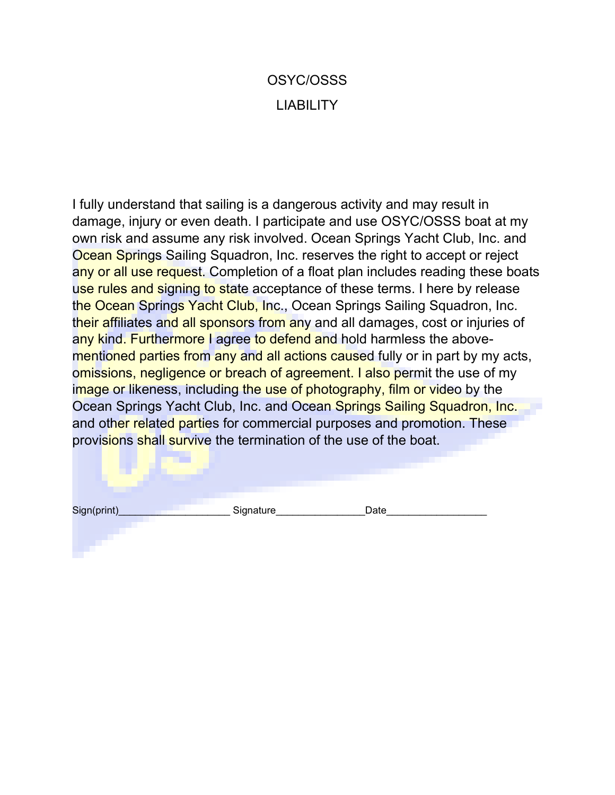## OSYC/OSSS LIABILITY

I fully understand that sailing is a dangerous activity and may result in damage, injury or even death. I participate and use OSYC/OSSS boat at my own risk and assume any risk involved. Ocean Springs Yacht Club, Inc. and Ocean Springs Sailing Squadron, Inc. reserves the right to accept or reject any or all use request. Completion of a float plan includes reading these boats use rules and signing to state acceptance of these terms. I here by release the Ocean Springs Yacht Club, Inc., Ocean Springs Sailing Squadron, Inc. their affiliates and all sponsors from any and all damages, cost or injuries of any kind. Furthermore I agree to defend and hold harmless the abovementioned parties from any and all actions caused fully or in part by my acts, omissions, negligence or breach of agreement. I also permit the use of my image or likeness, including the use of photography, film or video by the Ocean Springs Yacht Club, Inc. and Ocean Springs Sailing Squadron, Inc. and other related parties for commercial purposes and promotion. These provisions shall survive the termination of the use of the boat.

Sign(print) and Signature Signature Date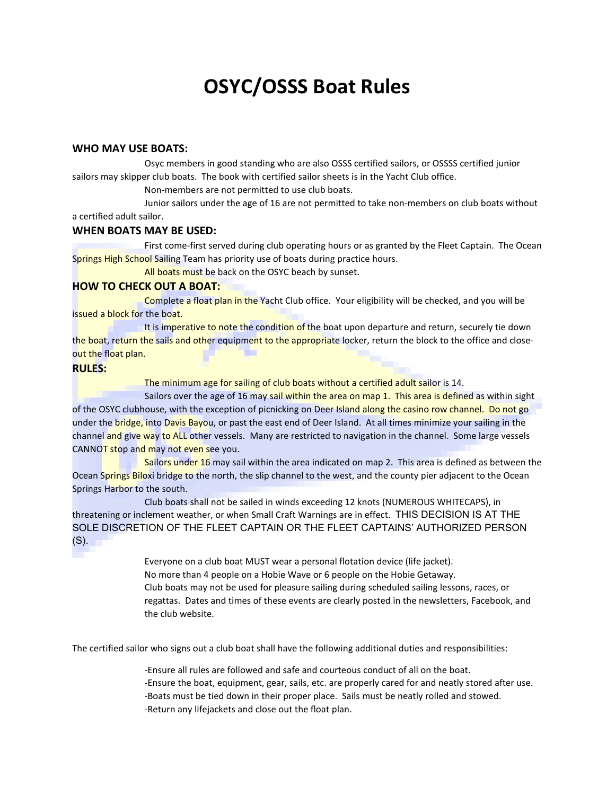## **OSYC/OSSS Boat Rules**

### **WHO MAY USE BOATS:**

Osyc members in good standing who are also OSSS certified sailors, or OSSSS certified junior sailors may skipper club boats. The book with certified sailor sheets is in the Yacht Club office.

Non-members are not permitted to use club boats.

Junior sailors under the age of 16 are not permitted to take non-members on club boats without a certified adult sailor.

### **WHEN BOATS MAY BE USED:**

First come-first served during club operating hours or as granted by the Fleet Captain. The Ocean Springs High School Sailing Team has priority use of boats during practice hours.

All boats must be back on the OSYC beach by sunset.

### **HOW TO CHECK OUT A BOAT:**

Complete a float plan in the Yacht Club office. Your eligibility will be checked, and you will be issued a block for the boat.

It is imperative to note the condition of the boat upon departure and return, securely tie down the boat, return the sails and other equipment to the appropriate locker, return the block to the office and closeout the float plan.

### **RULES:**

The minimum age for sailing of club boats without a certified adult sailor is 14.

Sailors over the age of 16 may sail within the area on map 1. This area is defined as within sight of the OSYC clubhouse, with the exception of picnicking on Deer Island along the casino row channel. Do not go under the bridge, into Davis Bayou, or past the east end of Deer Island. At all times minimize your sailing in the channel and give way to ALL other vessels. Many are restricted to navigation in the channel. Some large vessels CANNOT stop and may not even see you.

Sailors under 16 may sail within the area indicated on map 2. This area is defined as between the Ocean Springs Biloxi bridge to the north, the slip channel to the west, and the county pier adjacent to the Ocean Springs Harbor to the south.

Club boats shall not be sailed in winds exceeding 12 knots (NUMEROUS WHITECAPS), in threatening or inclement weather, or when Small Craft Warnings are in effect. THIS DECISION IS AT THE SOLE DISCRETION OF THE FLEET CAPTAIN OR THE FLEET CAPTAINS' AUTHORIZED PERSON (S).

> Everyone on a club boat MUST wear a personal flotation device (life jacket). No more than 4 people on a Hobie Wave or 6 people on the Hobie Getaway. Club boats may not be used for pleasure sailing during scheduled sailing lessons, races, or regattas. Dates and times of these events are clearly posted in the newsletters, Facebook, and the club website.

The certified sailor who signs out a club boat shall have the following additional duties and responsibilities:

-Ensure all rules are followed and safe and courteous conduct of all on the boat.

-Ensure the boat, equipment, gear, sails, etc. are properly cared for and neatly stored after use. -Boats must be tied down in their proper place. Sails must be neatly rolled and stowed. -Return any lifejackets and close out the float plan.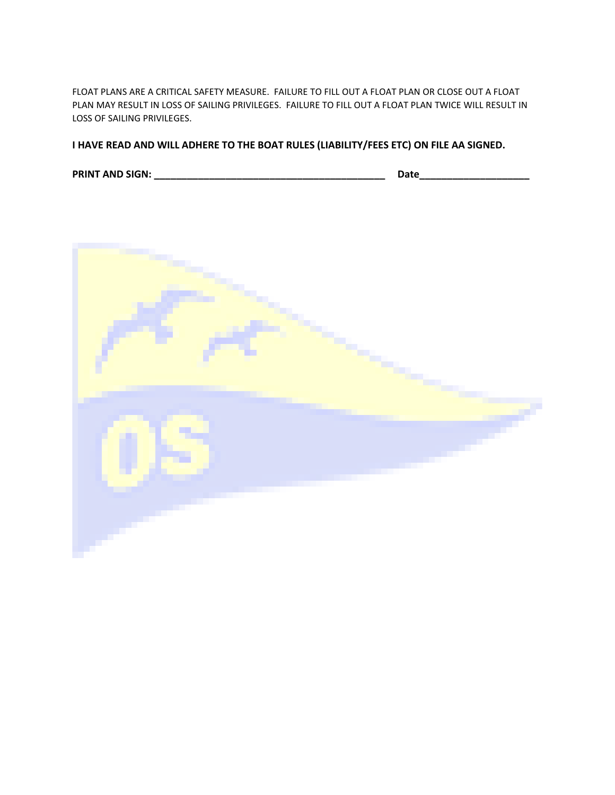FLOAT PLANS ARE A CRITICAL SAFETY MEASURE. FAILURE TO FILL OUT A FLOAT PLAN OR CLOSE OUT A FLOAT PLAN MAY RESULT IN LOSS OF SAILING PRIVILEGES. FAILURE TO FILL OUT A FLOAT PLAN TWICE WILL RESULT IN LOSS OF SAILING PRIVILEGES.

### **I HAVE READ AND WILL ADHERE TO THE BOAT RULES (LIABILITY/FEES ETC) ON FILE AA SIGNED.**

**PRINT AND SIGN: \_\_\_\_\_\_\_\_\_\_\_\_\_\_\_\_\_\_\_\_\_\_\_\_\_\_\_\_\_\_\_\_\_\_\_\_\_\_\_\_\_\_ Date\_\_\_\_\_\_\_\_\_\_\_\_\_\_\_\_\_\_\_\_**

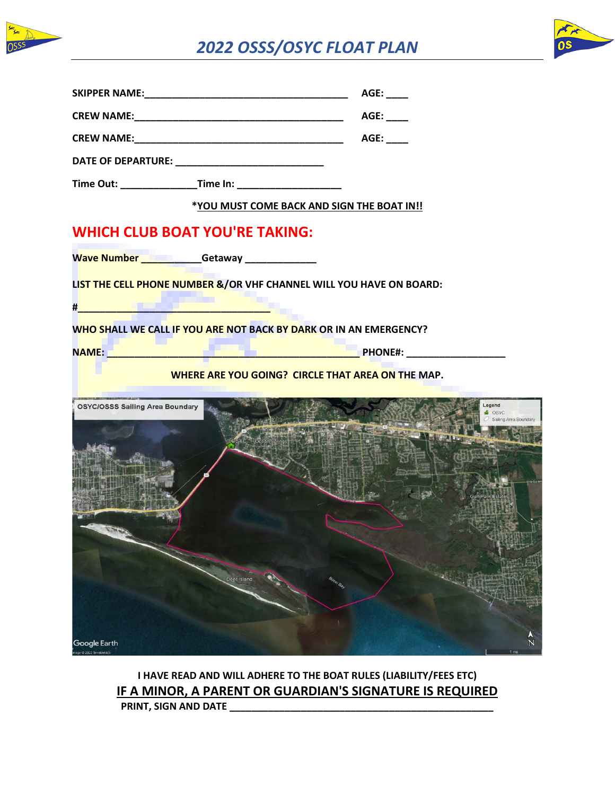



|                                                                     | AGE:                  |
|---------------------------------------------------------------------|-----------------------|
|                                                                     | <b>AGE:</b>           |
|                                                                     | <b>AGE:</b>           |
|                                                                     |                       |
| Time Out: _________________Time In: ________________________        |                       |
| *YOU MUST COME BACK AND SIGN THE BOAT IN!!                          |                       |
| <b>WHICH CLUB BOAT YOU'RE TAKING:</b>                               |                       |
| Wave Number Getaway _________                                       |                       |
| LIST THE CELL PHONE NUMBER &/OR VHF CHANNEL WILL YOU HAVE ON BOARD: |                       |
|                                                                     |                       |
| WHO SHALL WE CALL IF YOU ARE NOT BACK BY DARK OR IN AN EMERGENCY?   |                       |
|                                                                     |                       |
| <b>WHERE ARE YOU GOING? CIRCLE THAT AREA ON THE MAP.</b>            |                       |
| <b>OSYC/OSSS Sailing Area Boundary</b>                              | <b>S</b> OSYC         |
|                                                                     | Sailing Area Boundary |
|                                                                     |                       |
|                                                                     |                       |
|                                                                     |                       |
|                                                                     |                       |
|                                                                     |                       |
|                                                                     |                       |
| Deer Island                                                         |                       |
| Biloxi Bay                                                          |                       |
|                                                                     |                       |

**I HAVE READ AND WILL ADHERE TO THE BOAT RULES (LIABILITY/FEES ETC) IF A MINOR, A PARENT OR GUARDIAN'S SIGNATURE IS REQUIRED**  PRINT, SIGN AND DATE \_\_